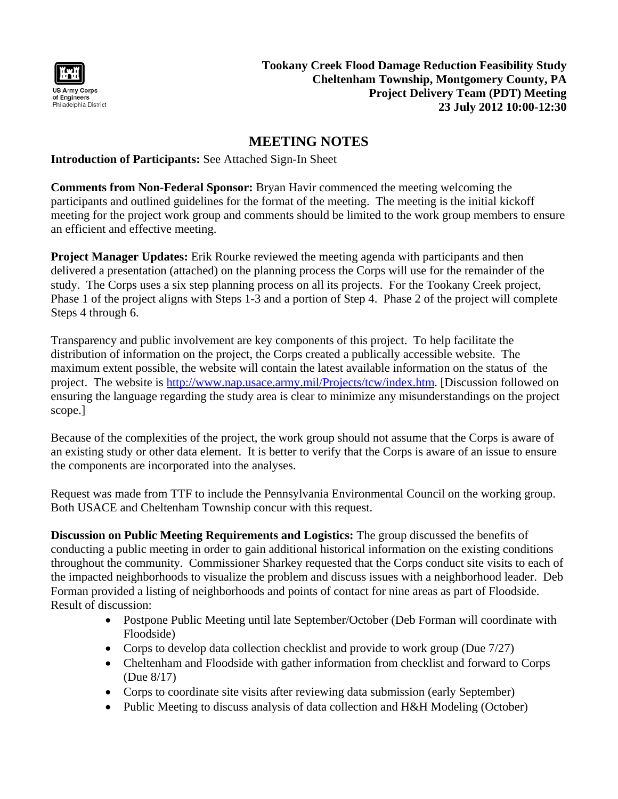

**Tookany Creek Flood Damage Reduction Feasibility Study Cheltenham Township, Montgomery County, PA Project Delivery Team (PDT) Meeting 23 July 2012 10:00-12:30**

## **MEETING NOTES**

### **Introduction of Participants:** See Attached Sign-In Sheet

**Comments from Non-Federal Sponsor:** Bryan Havir commenced the meeting welcoming the participants and outlined guidelines for the format of the meeting. The meeting is the initial kickoff meeting for the project work group and comments should be limited to the work group members to ensure an efficient and effective meeting.

**Project Manager Updates:** Erik Rourke reviewed the meeting agenda with participants and then delivered a presentation (attached) on the planning process the Corps will use for the remainder of the study. The Corps uses a six step planning process on all its projects. For the Tookany Creek project, Phase 1 of the project aligns with Steps 1-3 and a portion of Step 4. Phase 2 of the project will complete Steps 4 through 6.

Transparency and public involvement are key components of this project. To help facilitate the distribution of information on the project, the Corps created a publically accessible website. The maximum extent possible, the website will contain the latest available information on the status of the project. The website is http://www.nap.usace.army.mil/Projects/tcw/index.htm. [Discussion followed on ensuring the language regarding the study area is clear to minimize any misunderstandings on the project scope.]

Because of the complexities of the project, the work group should not assume that the Corps is aware of an existing study or other data element. It is better to verify that the Corps is aware of an issue to ensure the components are incorporated into the analyses.

Request was made from TTF to include the Pennsylvania Environmental Council on the working group. Both USACE and Cheltenham Township concur with this request.

**Discussion on Public Meeting Requirements and Logistics:** The group discussed the benefits of conducting a public meeting in order to gain additional historical information on the existing conditions throughout the community. Commissioner Sharkey requested that the Corps conduct site visits to each of the impacted neighborhoods to visualize the problem and discuss issues with a neighborhood leader. Deb Forman provided a listing of neighborhoods and points of contact for nine areas as part of Floodside. Result of discussion:

- Postpone Public Meeting until late September/October (Deb Forman will coordinate with Floodside)
- Corps to develop data collection checklist and provide to work group (Due 7/27)
- Cheltenham and Floodside with gather information from checklist and forward to Corps (Due 8/17)
- Corps to coordinate site visits after reviewing data submission (early September)
- Public Meeting to discuss analysis of data collection and H&H Modeling (October)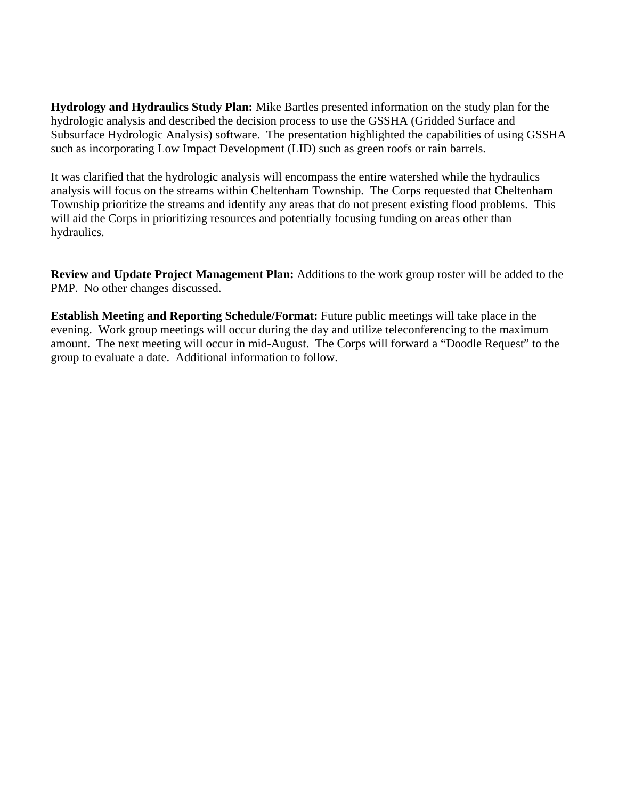**Hydrology and Hydraulics Study Plan:** Mike Bartles presented information on the study plan for the hydrologic analysis and described the decision process to use the GSSHA (Gridded Surface and Subsurface Hydrologic Analysis) software. The presentation highlighted the capabilities of using GSSHA such as incorporating Low Impact Development (LID) such as green roofs or rain barrels.

It was clarified that the hydrologic analysis will encompass the entire watershed while the hydraulics analysis will focus on the streams within Cheltenham Township. The Corps requested that Cheltenham Township prioritize the streams and identify any areas that do not present existing flood problems. This will aid the Corps in prioritizing resources and potentially focusing funding on areas other than hydraulics.

**Review and Update Project Management Plan:** Additions to the work group roster will be added to the PMP. No other changes discussed.

**Establish Meeting and Reporting Schedule/Format:** Future public meetings will take place in the evening. Work group meetings will occur during the day and utilize teleconferencing to the maximum amount. The next meeting will occur in mid-August. The Corps will forward a "Doodle Request" to the group to evaluate a date. Additional information to follow.